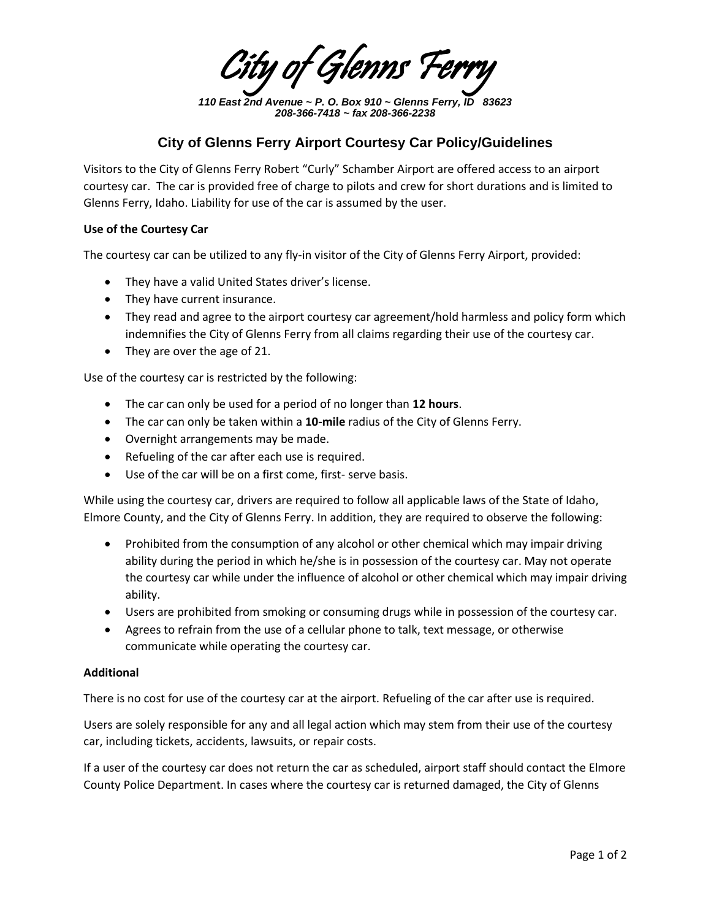ty of Glenns P

*110 East 2nd Avenue ~ P. O. Box 910 ~ Glenns Ferry, ID 83623 208-366-7418 ~ fax 208-366-2238*

## **City of Glenns Ferry Airport Courtesy Car Policy/Guidelines**

Visitors to the City of Glenns Ferry Robert "Curly" Schamber Airport are offered access to an airport courtesy car. The car is provided free of charge to pilots and crew for short durations and is limited to Glenns Ferry, Idaho. Liability for use of the car is assumed by the user.

## **Use of the Courtesy Car**

The courtesy car can be utilized to any fly-in visitor of the City of Glenns Ferry Airport, provided:

- They have a valid United States driver's license.
- They have current insurance.
- They read and agree to the airport courtesy car agreement/hold harmless and policy form which indemnifies the City of Glenns Ferry from all claims regarding their use of the courtesy car.
- They are over the age of 21.

Use of the courtesy car is restricted by the following:

- The car can only be used for a period of no longer than **12 hours**.
- The car can only be taken within a **10-mile** radius of the City of Glenns Ferry.
- Overnight arrangements may be made.
- Refueling of the car after each use is required.
- Use of the car will be on a first come, first- serve basis.

While using the courtesy car, drivers are required to follow all applicable laws of the State of Idaho, Elmore County, and the City of Glenns Ferry. In addition, they are required to observe the following:

- Prohibited from the consumption of any alcohol or other chemical which may impair driving ability during the period in which he/she is in possession of the courtesy car. May not operate the courtesy car while under the influence of alcohol or other chemical which may impair driving ability.
- Users are prohibited from smoking or consuming drugs while in possession of the courtesy car.
- Agrees to refrain from the use of a cellular phone to talk, text message, or otherwise communicate while operating the courtesy car.

## **Additional**

There is no cost for use of the courtesy car at the airport. Refueling of the car after use is required.

Users are solely responsible for any and all legal action which may stem from their use of the courtesy car, including tickets, accidents, lawsuits, or repair costs.

If a user of the courtesy car does not return the car as scheduled, airport staff should contact the Elmore County Police Department. In cases where the courtesy car is returned damaged, the City of Glenns